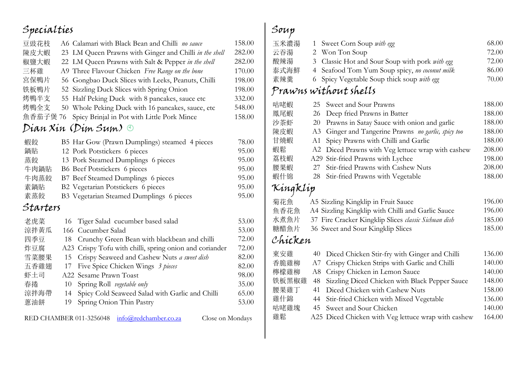## Specialties

| 豆豉花枝     | A6 Calamari with Black Bean and Chilli no sauce                      | 158.00 |
|----------|----------------------------------------------------------------------|--------|
| 陳皮大蝦     | 23 LM Queen Prawns with Ginger and Chilli in the shell               | 282.00 |
| 椒鹽大蝦     | 22 LM Queen Prawns with Salt & Pepper in the shell                   | 282.00 |
| 三杯雞      | A9 Three Flavour Chicken Free Range on the bone                      | 170.00 |
| 宮保鴨片     | Gongbao Duck Slices with Leeks, Peanuts, Chilli<br>56                | 198.00 |
| 铁板鴨片     | 52 Sizzling Duck Slices with Spring Onion                            | 198.00 |
| 烤鴨半支     | Half Peking Duck with 8 pancakes, sauce etc<br>55                    | 332.00 |
| 烤鴨全支     | Whole Peking Duck with 16 pancakes, sauce, etc<br>50                 | 548.00 |
| 魚香茄子煲 76 | Spicy Brinjal in Pot with Little Pork Mince                          | 158.00 |
|          | Dian Xin (Dim Sum) O                                                 |        |
| 蝦餃       | B5 Har Gow (Prawn Dumplings) steamed 4 pieces                        | 78.00  |
| 鍋貼       | 12 Pork Potstickers 6 pieces                                         | 95.00  |
| 蒸餃       | 13 Pork Steamed Dumplings 6 pieces                                   | 95.00  |
| 牛肉鍋貼     | B6 Beef Potstickers 6 pieces                                         | 95.00  |
| 牛肉蒸餃     | B7 Beef Steamed Dumplings 6 pieces                                   | 95.00  |
| 素鍋貼      | B2 Vegetarian Potstickers 6 pieces                                   | 95.00  |
| 素蒸餃      | B3 Vegetarian Steamed Dumplings 6 pieces                             | 95.00  |
| Starters |                                                                      |        |
| 老虎菜      | Tiger Salad cucumber based salad<br>16                               | 53.00  |
| 涼拌黃瓜     | Cucumber Salad<br>166                                                | 53.00  |
| 四季豆      | Crunchy Green Bean with blackbean and chilli<br>18                   | 72.00  |
| 炸豆腐      | A23 Crispy Tofu with chilli, spring onion and coriander              | 72.00  |
| 雪菜腰果     | Crispy Seaweed and Cashew Nuts a sweet dish<br>15                    | 82.00  |
| 五香雞翅     | Five Spice Chicken Wings 3 pieces<br>17                              | 82.00  |
| 虾土司      | A22 Sesame Prawn Toast                                               | 98.00  |
| 春捲       | Spring Roll vegetable only<br>10                                     | 35.00  |
| 涼拌海帶     | Spicy Cold Seaweed Salad with Garlic and Chilli<br>14                | 65.00  |
| 蔥油餅      | Spring Onion Thin Pastry<br>19                                       | 53.00  |
|          | info@redchamber.co.za<br>RED CHAMBER 011-3256048<br>Close on Mondays |        |

#### Soup

|  | 68.00                                                                                                                                                                                         |
|--|-----------------------------------------------------------------------------------------------------------------------------------------------------------------------------------------------|
|  | 72.00                                                                                                                                                                                         |
|  | 72.00                                                                                                                                                                                         |
|  | 86.00                                                                                                                                                                                         |
|  | 70.00                                                                                                                                                                                         |
|  | 1 Sweet Corn Soup with egg<br>2 Won Ton Soup<br>3 Classic Hot and Sour Soup with pork with egg<br>4 Seafood Tom Yum Soup spicy, no coconut milk<br>6 Spicy Vegetable Soup thick soup with egg |

#### Prawns without shells

| 咕咾蝦      | Sweet and Sour Prawns<br>25                            | 188.00 |
|----------|--------------------------------------------------------|--------|
| 鳳尾蝦      | Deep fried Prawns in Batter<br>26                      | 188.00 |
| 沙茶虾      | Prawns in Satay Sauce with onion and garlic<br>20      | 188.00 |
| 陳皮蝦      | Ginger and Tangerine Prawns no garlic, spicy too<br>A3 | 188.00 |
| 甘燒蝦      | Spicy Prawns with Chilli and Garlic<br>A1              | 188.00 |
| 蝦鬆       | Diced Prawns with Veg lettuce wrap with cashew<br>A2   | 208.00 |
| 荔枝蝦      | Stir-fried Prawns with Lychee<br>A29                   | 198.00 |
| 腰果蝦      | Stir-fried Prawns with Cashew Nuts<br>27               | 208.00 |
| 蝦什锦      | Stir-fried Prawns with Vegetable<br>28                 | 188.00 |
| Kingklip |                                                        |        |
| 菊花魚      | A5 Sizzling Kingklip in Fruit Sauce                    | 196.00 |
| 鱼香花魚     | A4 Sizzling Kingklip with Chilli and Garlic Sauce      | 196.00 |
| 水煮魚片     | 37 Fire Cracker Kingklip Slices classic Sichuan dish   | 185.00 |
| 糖醋魚片     | 36 Sweet and Sour Kingklip Slices                      | 185.00 |
| Chicken  |                                                        |        |
| 東安雞      | 40<br>Diced Chicken Stir-fry with Ginger and Chilli    | 136.00 |
| 香脆雞柳     | Crispy Chicken Strips with Garlic and Chilli<br>A7     | 140.00 |
| 檸檬雞柳     | Crispy Chicken in Lemon Sauce<br>A8                    | 140.00 |
| 铁板黑椒雞    | Sizzling Diced Chicken with Black Pepper Sauce<br>48   | 148.00 |
| 腰果雞丁     | Diced Chicken with Cashew Nuts<br>41                   | 158.00 |
|          |                                                        |        |

雞什錦 44 Stir-fried Chicken with Mixed Vegetable 136.00<br>咕咾雞塊 45 Sweet and Sour Chicken 140.00 tri under Same 45 Sweet and Sour Chicken<br>
新载 de A25 Diced Chicken with Veg lettuce wrap with cashew 164.00 A25 Diced Chicken with Veg lettuce wrap with cashew 164.00